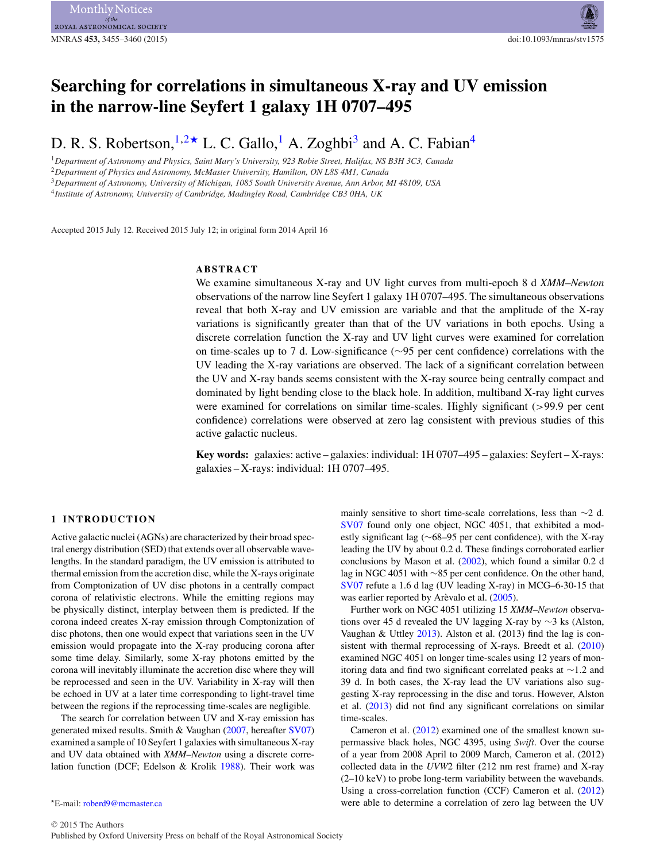# **Searching for correlations in simultaneous X-ray and UV emission in the narrow-line Seyfert 1 galaxy 1H 0707–495**

D. R. S. Robertson,  $1.2 \star$  $1.2 \star$  $1.2 \star$  L. C. Gallo, <sup>[1](#page-0-0)</sup> A. Zoghbi<sup>3</sup> and A. C. Fabian<sup>4</sup>

<span id="page-0-0"></span><sup>1</sup>*Department of Astronomy and Physics, Saint Mary's University, 923 Robie Street, Halifax, NS B3H 3C3, Canada* <sup>2</sup>*Department of Physics and Astronomy, McMaster University, Hamilton, ON L8S 4M1, Canada*

<span id="page-0-3"></span><span id="page-0-1"></span><sup>3</sup>*Department of Astronomy, University of Michigan, 1085 South University Avenue, Ann Arbor, MI 48109, USA*

<span id="page-0-4"></span><sup>4</sup>*Institute of Astronomy, University of Cambridge, Madingley Road, Cambridge CB3 0HA, UK*

Accepted 2015 July 12. Received 2015 July 12; in original form 2014 April 16

# **ABSTRACT**

We examine simultaneous X-ray and UV light curves from multi-epoch 8 d *XMM–Newton* observations of the narrow line Seyfert 1 galaxy 1H 0707–495. The simultaneous observations reveal that both X-ray and UV emission are variable and that the amplitude of the X-ray variations is significantly greater than that of the UV variations in both epochs. Using a discrete correlation function the X-ray and UV light curves were examined for correlation on time-scales up to 7 d. Low-significance (∼95 per cent confidence) correlations with the UV leading the X-ray variations are observed. The lack of a significant correlation between the UV and X-ray bands seems consistent with the X-ray source being centrally compact and dominated by light bending close to the black hole. In addition, multiband X-ray light curves were examined for correlations on similar time-scales. Highly significant (>99.9 per cent confidence) correlations were observed at zero lag consistent with previous studies of this active galactic nucleus.

**Key words:** galaxies: active – galaxies: individual: 1H 0707–495 – galaxies: Seyfert – X-rays: galaxies – X-rays: individual: 1H 0707–495.

# **1 INTRODUCTION**

Active galactic nuclei (AGNs) are characterized by their broad spectral energy distribution (SED) that extends over all observable wavelengths. In the standard paradigm, the UV emission is attributed to thermal emission from the accretion disc, while the X-rays originate from Comptonization of UV disc photons in a centrally compact corona of relativistic electrons. While the emitting regions may be physically distinct, interplay between them is predicted. If the corona indeed creates X-ray emission through Comptonization of disc photons, then one would expect that variations seen in the UV emission would propagate into the X-ray producing corona after some time delay. Similarly, some X-ray photons emitted by the corona will inevitably illuminate the accretion disc where they will be reprocessed and seen in the UV. Variability in X-ray will then be echoed in UV at a later time corresponding to light-travel time between the regions if the reprocessing time-scales are negligible.

The search for correlation between UV and X-ray emission has generated mixed results. Smith & Vaughan [\(2007,](#page-5-0) hereafter [SV07\)](#page-5-0) examined a sample of 10 Seyfert 1 galaxies with simultaneous X-ray and UV data obtained with *XMM–Newton* using a discrete correlation function (DCF; Edelson & Krolik [1988\)](#page-5-1). Their work was mainly sensitive to short time-scale correlations, less than ∼2 d. [SV07](#page-5-0) found only one object, NGC 4051, that exhibited a modestly significant lag (∼68–95 per cent confidence), with the X-ray leading the UV by about 0.2 d. These findings corroborated earlier conclusions by Mason et al. [\(2002\)](#page-5-2), which found a similar 0.2 d lag in NGC 4051 with ∼85 per cent confidence. On the other hand, [SV07](#page-5-0) refute a 1.6 d lag (UV leading X-ray) in MCG–6-30-15 that was earlier reported by Arèvalo et al.  $(2005)$  $(2005)$ .

Further work on NGC 4051 utilizing 15 *XMM–Newton* observations over 45 d revealed the UV lagging X-ra[y](#page-1-0) by ∼3 ks (Alston, Vaughan & Uttley [2013\)](#page-5-4). Alston et al. (2013) find the lag is consistent with thermal reprocessing of X-rays. Breedt et al. [\(2010\)](#page-5-5) examined NGC 4051 on longer time-scales using 12 years of monitoring data and find two significant correlated peaks at ∼1.2 and 39 d. In both cases, the X-ray lead the UV variations also suggesting X-ray reprocessing in the disc and torus. However, Alston et al. [\(2013\)](#page-5-4) did not find any significant correlations on similar time-scales.

Cameron et al. [\(2012\)](#page-5-6) examined one of the smallest known supermassive black holes, NGC 4395, using *Swift*. Over the course of a year from 2008 April to 2009 March, Cameron et al. (2012) collected data in the *UVW*2 filter (212 nm rest frame) and X-ray (2–10 keV) to probe long-term variability between the wavebands. Using a cross-correlation function (CCF) Cameron et al. [\(2012\)](#page-5-6) were able to determine a correlation of zero lag between the UV

<span id="page-0-2"></span><sup>-</sup>E-mail: [roberd9@mcmaster.ca](mailto:roberd9@mcmaster.ca)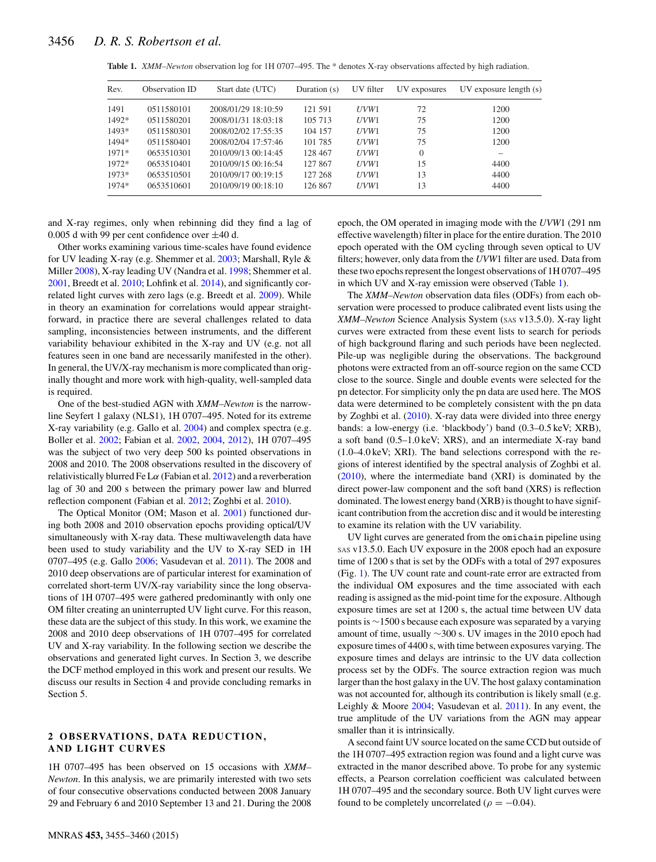<span id="page-1-0"></span>

| Table 1. XMM-Newton observation log for 1H 0707-495. The * denotes X-ray observations affected by high radiation. |  |  |
|-------------------------------------------------------------------------------------------------------------------|--|--|
|                                                                                                                   |  |  |

| Rev.    | Observation ID | Start date (UTC)    | Duration $(s)$ | UV filter | UV exposures | $UV$ exposure length $(s)$ |
|---------|----------------|---------------------|----------------|-----------|--------------|----------------------------|
| 1491    | 0511580101     | 2008/01/29 18:10:59 | 121 591        | UVW1      | 72           | 1200                       |
| 1492*   | 0511580201     | 2008/01/31 18:03:18 | 105 713        | UVW1      | 75           | 1200                       |
| 1493*   | 0511580301     | 2008/02/02 17:55:35 | 104 157        | UVW1      | 75           | 1200                       |
| 1494*   | 0511580401     | 2008/02/04 17:57:46 | 101 785        | UVW1      | 75           | 1200                       |
| $1971*$ | 0653510301     | 2010/09/13 00:14:45 | 128 467        | UVW1      | $\Omega$     |                            |
| 1972*   | 0653510401     | 2010/09/15 00:16:54 | 127 867        | UVW1      | 15           | 4400                       |
| 1973*   | 0653510501     | 2010/09/17 00:19:15 | 127 268        | UVW1      | 13           | 4400                       |
| 1974*   | 0653510601     | 2010/09/19 00:18:10 | 126 867        | UVW1      | 13           | 4400                       |

and X-ray regimes, only when rebinning did they find a lag of 0.005 d with 99 per cent confidence over  $\pm 40$  d.

Other works examining various time-scales have found evidence for UV leading X-ray (e.g. Shemmer et al. [2003;](#page-5-7) Marshall, Ryle & Miller [2008\)](#page-5-8), X-ray leading UV (Nandra et al. [1998;](#page-5-9) Shemmer et al. [2001,](#page-5-10) Breedt et al. [2010;](#page-5-5) Lohfink et al. [2014\)](#page-5-11), and significantly correlated light curves with zero lags (e.g. Breedt et al. [2009\)](#page-5-12). While in theory an examination for correlations would appear straightforward, in practice there are several challenges related to data sampling, inconsistencies between instruments, and the different variability behaviour exhibited in the X-ray and UV (e.g. not all features seen in one band are necessarily manifested in the other). In general, the UV/X-ray mechanism is more complicated than originally thought and more work with high-quality, well-sampled data is required.

One of the best-studied AGN with *XMM–Newton* is the narrowline Seyfert 1 galaxy (NLS1), 1H 0707–495. Noted for its extreme X-ray variability (e.g. Gallo et al. [2004\)](#page-5-13) and complex spectra (e.g. Boller et al. [2002;](#page-5-14) Fabian et al. [2002,](#page-5-15) [2004,](#page-5-16) 2012), 1H 0707–495 was the subject of two very deep 500 ks pointed observations in 2008 and 2010. The 2008 observations resulted in the discovery of relativistically blurred Fe L $\alpha$  (Fabian et al. 2012) and a reverberation lag of 30 and 200 s between the primary power law and blurred reflection component (Fabian et al. 2012; Zoghbi et al. [2010\)](#page-5-17).

The Optical Monitor (OM; Mason et al. [2001\)](#page-5-18) functioned during both 2008 and 2010 observation epochs providing optical/UV simultaneously with X-ray data. These multiwavelength data have been used to study variability and the UV to X-ray SED in 1H 0707–495 (e.g. Gallo [2006;](#page-5-19) Vasudevan et al. [2011\)](#page-5-20). The 2008 and 2010 deep observations are of particular interest for examination of correlated short-term UV/X-ray variability since the long observations of 1H 0707–495 were gathered predominantly with only one OM filter creating an uninterrupted UV light curve. For this reason, these data are the subject of this study. In this work, we examine the 2008 and 2010 deep observations of 1H 0707–495 for correlated UV and X-ray variability. In the following section we describe the observations and generated light curves. In Section 3, we describe the DCF method employed in this work and present our results. We discuss our results in Section 4 and provide concluding remarks in Section 5.

# 2 OBSERVATIONS, DATA REDUCTION, **AND LIGHT CURVES**

1H 0707–495 has been observed on 15 occasions with *XMM– Newton*. In this analysis, we are primarily interested with two sets of four consecutive observations conducted between 2008 January 29 and February 6 and 2010 September 13 and 21. During the 2008

MNRAS **453,** 3455–3460 (2015)

epoch, the OM operated in imaging mode with the *UVW*1 (291 nm effective wavelength) filter in place for the entire duration. The 2010 epoch operated with the OM cycling through seven optical to UV filters; however, only data from the *UVW*1 filter are used. Data from these two epochs represent the longest observations of 1H 0707–495 in which UV and X-ray emission were observed (Table [1\)](#page-1-0).

The *XMM–Newton* observation data files (ODFs) from each observation were processed to produce calibrated event lists using the *XMM–Newton* Science Analysis System (SAS v13.5.0). X-ray light curves were extracted from these event lists to search for periods of high background flaring and such periods have been neglected. Pile-up was negligible during the observations. The background photons were extracted from an off-source region on the same CCD close to the source. Single and double events were selected for the pn detector. For simplicity only the pn data are used here. The MOS data were determined to be completely consistent with the pn data by Zoghbi et al. [\(2010\)](#page-5-17). X-ray data were divided into three energy bands: a low-energy (i.e. 'blackbody') band (0.3–0.5 keV; XRB), a soft band (0.5–1.0 keV; XRS), and an intermediate X-ray band (1.0–4.0 keV; XRI). The band selections correspond with the regions of interest identified by the spectral analysis of Zoghbi et al. [\(2010\)](#page-5-17), where the intermediate band (XRI) is dominated by the direct power-law component and the soft band (XRS) is reflection dominated. The lowest energy band (XRB) is thought to have significant contribution from the accretion disc and it would be interesting to examine its relation with the UV variability.

UV light curves are generated from the omichain pipeline using SAS v13.5.0. Each UV exposure in the 2008 epoch had an exposure time of 1200 s that is set by the ODFs with a total of 297 exposures (Fig. [1\)](#page-2-0). The UV count rate and count-rate error are extracted from the individual OM exposures and the time associated with each reading is assigned as the mid-point time for the exposure. Although exposure times are set at 1200 s, the actual time between UV data points is ∼1500 s because each exposure was separated by a varying amount of time, usually ∼300 s. UV images in the 2010 epoch had exposure times of 4400 s, with time between exposures varying. The exposure times and delays are intrinsic to the UV data collection process set by the ODFs. The source extraction region was much larger than the host galaxy in the UV. The host galaxy contamination was not accounted for, although its contribution is likely small (e.g. Leighly & Moore [2004;](#page-5-21) Vasudevan et al. [2011\)](#page-5-20). In any event, the true amplitude of the UV variations from the AGN may appear smaller than it is intrinsically.

A second faint UV source located on the same CCD but outside of the 1H 0707–495 extraction region was found and a light curve was extracted in the manor described above. To probe for any systemic effects, a Pearson correlation coefficient was calculated between 1H 0707–495 and the secondary source. Both UV light curves were found to be completely uncorrelated ( $\rho = -0.04$ ).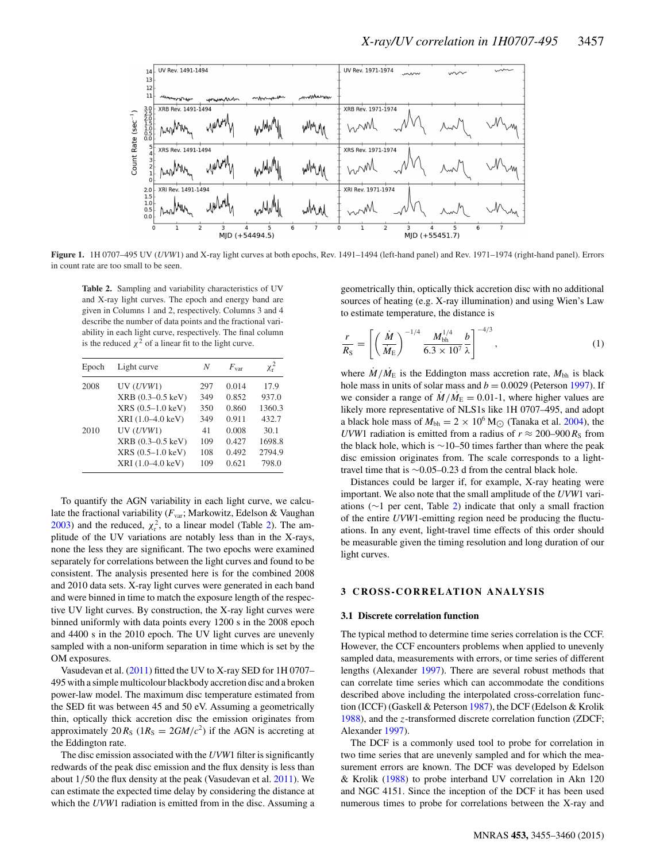<span id="page-2-0"></span>

**Figure 1.** 1H 0707–495 UV (*UVW*1) and X-ray light curves at both epochs, Rev. 1491–1494 (left-hand panel) and Rev. 1971–1974 (right-hand panel). Errors in count rate are too small to be seen.

<span id="page-2-1"></span>**Table 2.** Sampling and variability characteristics of UV and X-ray light curves. The epoch and energy band are given in Columns 1 and 2, respectively. Columns 3 and 4 describe the number of data points and the fractional variability in each light curve, respectively. The final column is the reduced  $\chi^2$  of a linear fit to the light curve.

| Epoch | Light curve       | N   | $F_{\rm var}$ | $\chi_{\rm r}^2$ |
|-------|-------------------|-----|---------------|------------------|
| 2008  | UV(UVW1)          | 297 | 0.014         | 17.9             |
|       | XRB (0.3-0.5 keV) | 349 | 0.852         | 937.0            |
|       | XRS (0.5-1.0 keV) | 350 | 0.860         | 1360.3           |
|       | XRI (1.0-4.0 keV) | 349 | 0.911         | 432.7            |
| 2010  | UV(UVW1)          | 41  | 0.008         | 30.1             |
|       | XRB (0.3-0.5 keV) | 109 | 0.427         | 1698.8           |
|       | XRS (0.5-1.0 keV) | 108 | 0.492         | 2794.9           |
|       | XRI (1.0-4.0 keV) | 109 | 0.621         | 798.0            |

To quantify the AGN variability in each light curve, we calculate the fractional variability (*F*var; Markowitz, Edelson & Vaughan  $2003$ ) and the reduced,  $\chi^2$ , to a linear model (Table [2\)](#page-2-1). The amplitude of the UV variations are notably less than in the X-rays, none the less they are significant. The two epochs were examined separately for correlations between the light curves and found to be consistent. The analysis presented here is for the combined 2008 and 2010 data sets. X-ray light curves were generated in each band and were binned in time to match the exposure length of the respective UV light curves. By construction, the X-ray light curves were binned uniformly with data points every 1200 s in the 2008 epoch and 4400 s in the 2010 epoch. The UV light curves are unevenly sampled with a non-uniform separation in time which is set by the OM exposures.

Vasudevan et al. [\(2011\)](#page-5-20) fitted the UV to X-ray SED for 1H 0707– 495 with a simple multicolour blackbody accretion disc and a broken power-law model. The maximum disc temperature estimated from the SED fit was between 45 and 50 eV. Assuming a geometrically thin, optically thick accretion disc the emission originates from approximately  $20 R_S$  ( $1R_S = 2GM/c^2$ ) if the AGN is accreting at the Eddington rate.

The disc emission associated with the *UVW*1 filter is significantly redwards of the peak disc emission and the flux density is less than about 1/50 the flux density at the peak (Vasudevan et al. [2011\)](#page-5-20). We can estimate the expected time delay by considering the distance at which the *UVW*1 radiation is emitted from in the disc. Assuming a geometrically thin, optically thick accretion disc with no additional sources of heating (e.g. X-ray illumination) and using Wien's Law to estimate temperature, the distance is

$$
\frac{r}{R_{\rm S}} = \left[ \left( \frac{\dot{M}}{\dot{M}_{\rm E}} \right)^{-1/4} \frac{M_{\rm bh}^{1/4}}{6.3 \times 10^7} \frac{b}{\lambda} \right]^{-4/3},\tag{1}
$$

where  $M/M<sub>E</sub>$  is the Eddington mass accretion rate,  $M<sub>bh</sub>$  is black hole mass in units of solar mass and  $b = 0.0029$  (Peterson [1997\)](#page-5-23). If we consider a range of  $\dot{M}/\dot{M}_{\rm E} = 0.01$ -1, where higher values are likely more representative of NLS1s like 1H 0707–495, and adopt a black hole mass of  $M_{bh} = 2 \times 10^6$  M<sub> $\odot$ </sub> (Tanaka et al. [2004\)](#page-5-24), the *UVW*1 radiation is emitted from a radius of  $r \approx 200-900 R<sub>S</sub>$  from the black hole, which is ∼10–50 times farther than where the peak disc emission originates from. The scale corresponds to a lighttravel time that is ∼0.05–0.23 d from the central black hole.

Distances could be larger if, for example, X-ray heating were important. We also note that the small amplitude of the *UVW*1 variations (∼1 per cent, Table [2\)](#page-2-1) indicate that only a small fraction of the entire *UVW*1-emitting region need be producing the fluctuations. In any event, light-travel time effects of this order should be measurable given the timing resolution and long duration of our light curves.

# **3 CROSS -CORRELATION ANALYSIS**

#### **3.1 Discrete correlation function**

The typical method to determine time series correlation is the CCF. However, the CCF encounters problems when applied to unevenly sampled data, measurements with errors, or time series of different lengths (Alexander [1997\)](#page-5-25). There are several robust methods that can correlate time series which can accommodate the conditions described above including the interpolated cross-correlation function (ICCF) (Gaskell & Peterson [1987\)](#page-5-1), the DCF (Edelson & Krolik [1988\)](#page-5-1), and the z-transformed discrete correlation function (ZDCF; Alexander [1997\)](#page-5-25).

The DCF is a commonly used tool to probe for correlation in two time series that are unevenly sampled and for which the measurement errors are known. The DCF was developed by Edelson & Krolik [\(1988\)](#page-5-1) to probe interband UV correlation in Akn 120 and NGC 4151. Since the inception of the DCF it has been used numerous times to probe for correlations between the X-ray and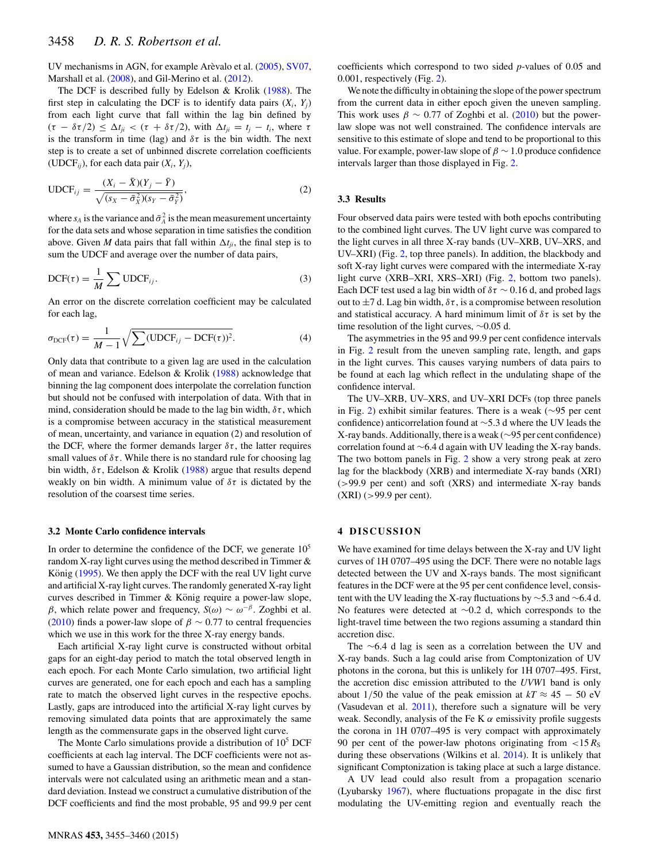UV mechanisms in AGN, for example Arèvalo et al. ([2005\)](#page-5-3), [SV07,](#page-5-0) Marshall et al. [\(2008\)](#page-5-8), and Gil-Merino et al. [\(2012\)](#page-5-26).

The DCF is described fully by Edelson & Krolik [\(1988\)](#page-5-1). The first step in calculating the DCF is to identify data pairs  $(X_i, Y_j)$ from each light curve that fall within the lag bin defined by  $(\tau - \delta \tau/2) \leq \Delta t_{ii} < (\tau + \delta \tau/2)$ , with  $\Delta t_{ii} = t_i - t_i$ , where  $\tau$ is the transform in time (lag) and  $\delta\tau$  is the bin width. The next step is to create a set of unbinned discrete correlation coefficients (UDCF*ij*), for each data pair (*Xi*, *Yj*),

UDCF<sub>ij</sub> = 
$$
\frac{(X_i - \bar{X})(Y_j - \bar{Y})}{\sqrt{(s_X - \bar{\sigma}_X^2)(s_Y - \bar{\sigma}_Y^2)}},
$$
(2)

where  $s_A$  is the variance and  $\bar{\sigma}_A^2$  is the mean measurement uncertainty for the data sets and whose separation in time satisfies the condition above. Given *M* data pairs that fall within  $\Delta t_{ii}$ , the final step is to sum the UDCF and average over the number of data pairs,

$$
DCF(\tau) = \frac{1}{M} \sum UDCF_{ij}.
$$
 (3)

An error on the discrete correlation coefficient may be calculated for each lag,

$$
\sigma_{\text{DCF}}(\tau) = \frac{1}{M-1} \sqrt{\sum (\text{UDCF}_{ij} - \text{DCF}(\tau))^2}.
$$
 (4)

Only data that contribute to a given lag are used in the calculation of mean and variance. Edelson & Krolik [\(1988\)](#page-5-1) acknowledge that binning the lag component does interpolate the correlation function but should no[t](#page-2-0) be confused with interpolation of data. With that in mind, consideration should be made to the lag bin width,  $\delta \tau$ , which is a compromise between accuracy in the statistical measurement of mean, uncertainty, and variance in equation (2) and resolution of the DCF, where the former demands larger  $\delta \tau$ , the latter requires small values of  $\delta\tau$ . While there is no standard rule for choosing lag bin width,  $\delta \tau$ , Edelson & Krolik [\(1988\)](#page-5-1) argue that results depend weakly on bin width. A minimum value of  $\delta\tau$  is dictated by the resolution of the coarsest time series.

#### **3.2 Monte Carlo confidence intervals**

In order to determine the confidence of the DCF, we generate  $10<sup>5</sup>$ random X-ray light curves using the method described in Timmer & König  $(1995)$  $(1995)$ . We then apply the DCF with the real UV light curve and artificial X-ray light curves. The randomly generated X-ray light curves described in Timmer & König require a power-law slope, β, which relate power and frequency,  $S(\omega) \sim \omega^{-\beta}$ . Zoghbi et al. [\(2010\)](#page-5-17) finds a power-law slope of  $\beta \sim 0.77$  to central frequencies which we use in this work for the three X-ray energy bands.

Each artificial X-ray light curve is constructed without orbital gaps for an eight-day period to match the total observed length in each epoch. For each Monte Carlo simulation, two artificial light curves are generated, one for each epoch and each has a sampling rate to match the observed light curves in the respective epochs. Lastly, gaps are introduced into the artificial X-ray light curves by removing simulated data points that are approximately the same length as the commensurate gaps in the observed light curve.

The Monte Carlo simulations provide a distribution of  $10<sup>5</sup>$  DCF coefficients at each lag interval. The DCF coefficients were not assumed to have a Gaussian distribution, so the mean and confidence intervals were not calculated using an arithmetic mean and a standard deviation. Instead we construct a cumulative distribution of the DCF coefficients and find the most probable, 95 and 99.9 per cent

MNRAS **453,** 3455–3460 (2015)

coefficients which correspond to two sided *p*-values of 0.05 and 0.001, respectively (Fig. [2\)](#page-4-0).

We note the difficulty in obtaining the slope of the power spectrum from the current data in either epoch given the uneven sampling. This work uses  $\beta \sim 0.77$  of Zoghbi et al. [\(2010\)](#page-5-17) but the powerlaw slope was not well constrained. The confidence intervals are sensitive to this estimate of slope and tend to be proportional to this value. For example, power-law slope of  $\beta \sim 1.0$  produce confidence intervals larger than those displayed in Fig. [2.](#page-4-0)

## **3.3 Results**

Four observed data pairs were tested with both epochs contributing to the combined light curves. The UV light curve was compared to the light curves in all three X-ray bands (UV–XRB, UV–XRS, and UV–XRI) (Fig. [2,](#page-4-0) top three panels). In addition, the blackbody and soft X-ray light curves were compared with the intermediate X-ray light curve (XRB–XRI, XRS–XRI) (Fig. [2,](#page-4-0) bottom two panels). Each DCF test used a lag bin width of  $\delta \tau \sim 0.16$  d, and probed lags out to  $\pm$ 7 d. Lag bin width,  $\delta \tau$ , is a compromise between resolution and statistical accuracy. A hard minimum limit of  $\delta\tau$  is set by the time resolution of the light curves, ∼0.05 d.

The asymmetries in the 95 and 99.9 per cent confidence intervals in Fig. [2](#page-4-0) result from the uneven sampling rate, length, and gaps in the light curves. This causes varying numbers of data pairs to be found at each lag which reflect in the undulating shape of the confidence interval.

The UV–XRB, UV–XRS, and UV–XRI DCFs (top three panels in Fig. [2\)](#page-4-0) exhibit similar features. There is a weak (∼95 per cent confidence) anticorrelation found at ∼5.3 d where the UV leads the X-ray bands. Additionally, there is a weak (∼95 per cent confidence) correlation found at ∼6.4 d again with UV leading the X-ray bands. The two bottom panels in Fig. [2](#page-4-0) show a very strong peak at zero lag for the blackbody (XRB) and intermediate X-ray bands (XRI) (>99.9 per cent) and soft (XRS) and intermediate X-ray bands (XRI) (>99.9 per cent).

# **4 DISCUSSION**

We have examined for time delays between the X-ray and UV light curves of 1H 0707–495 using the DCF. There were no notable lags detected between the UV and X-rays bands. The most significant features in the DCF were at the 95 per cent confidence level, consistent with the UV leading the X-ray fluctuations by ∼5.3 and ∼6.4 d. No features were detected at ∼0.2 d, which corresponds to the light-travel time between the two regions assuming a standard thin accretion disc.

The ∼6.4 d lag is seen as a correlation between the UV and X-ray bands. Such a lag could arise from Comptonization of UV photons in the corona, but this is unlikely for 1H 0707–495. First, the accretion disc emission attributed to the *UVW*1 band is only about 1/50 the value of the peak emission at  $kT \approx 45 - 50$  eV (Vasudevan et al. [2011\)](#page-5-20), therefore such a signature will be very weak. Secondly, analysis of the Fe K  $\alpha$  emissivity profile suggests the corona in 1H 0707–495 is very compact with approximately 90 per cent of the power-law photons originating from  $\langle 15 R_S \rangle$ during these observations (Wilkins et al. [2014\)](#page-5-28). It is unlikely that significant Comptonization is taking place at such a large distance.

A UV lead could also result from a propagation scenario (Lyubarsky [1967\)](#page-5-29), where fluctuations propagate in the disc first modulating the UV-emitting region and eventually reach the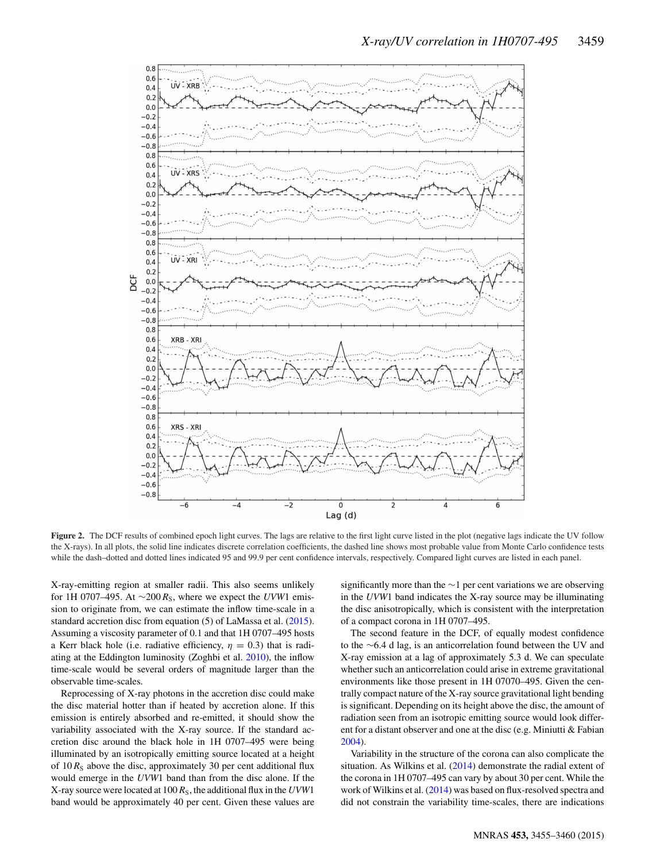<span id="page-4-0"></span>

Figure 2. The DCF results of combined epoch light curves. The lags are relative to the first light curve listed in the plot (negative lags indicate the UV follow the X-rays). In all plots, the solid line indicates discrete correlation coefficients, the dashed line shows most probable value from Monte Carlo confidence tests while the dash–dotted and dotted lines indicated 95 and 99.9 per cent confidence intervals, respectively. Compared light curves are listed in each panel.

X-ray-emitting region at smaller radii. This also seems unlikely for 1H 0707–495. At  $\sim$ 200  $R_s$ , where we expect the *UVW*1 emission to originate from, we can estimate the inflow time-scale in a standard accretion disc from equation (5) of LaMassa et al. [\(2015\)](#page-5-30). Assuming a viscosity parameter of 0.1 and that 1H 0707–495 hosts a Kerr black hole (i.e. radiative efficiency,  $\eta = 0.3$ ) that is radiating at the Eddington luminosity (Zoghbi et al. [2010\)](#page-5-17), the inflow time-scale would be several orders of magnitude larger than the observable time-scales.

Reprocessing of X-ray photons in the accretion disc could make the disc material hotter than if heated by accretion alone. If this emission is entirely absorbed and re-emitted, it should show the variability associated with the X-ray source. If the standard accretion disc around the black hole in 1H 0707–495 were being illuminated by an isotropically emitting source located at a height of  $10 R<sub>S</sub>$  above the disc, approximately 30 per cent additional flux would emerge in the *UVW*1 band than from the disc alone. If the X-ray source were located at 100 *R*S, the additional flux in the *UVW*1 band would be approximately 40 per cent. Given these values are significantly more than the ∼1 per cent variations we are observing in the *UVW*1 band indicates the X-ray source may be illuminating the disc anisotropically, which is consistent with the interpretation of a compact corona in 1H 0707–495.

The second feature in the DCF, of equally modest confidence to the ∼6.4 d lag, is an anticorrelation found between the UV and X-ray emission at a lag of approximately 5.3 d. We can speculate whether such an anticorrelation could arise in extreme gravitational environments like those present in 1H 07070–495. Given the centrally compact nature of the X-ray source gravitational light bending is significant. Depending on its height above the disc, the amount of radiation seen from an isotropic emitting source would look different for a distant observer and one at the disc (e.g. Miniutti & Fabian [2004\)](#page-5-31).

Variability in the structure of the corona can also complicate the situation. As Wilkins et al. [\(2014\)](#page-5-28) demonstrate the radial extent of the corona in 1H 0707–495 can vary by about 30 per cent. While the work of Wilkins et al. [\(2014\)](#page-5-28) was based on flux-resolved spectra and did not constrain the variability time-scales, there are indications